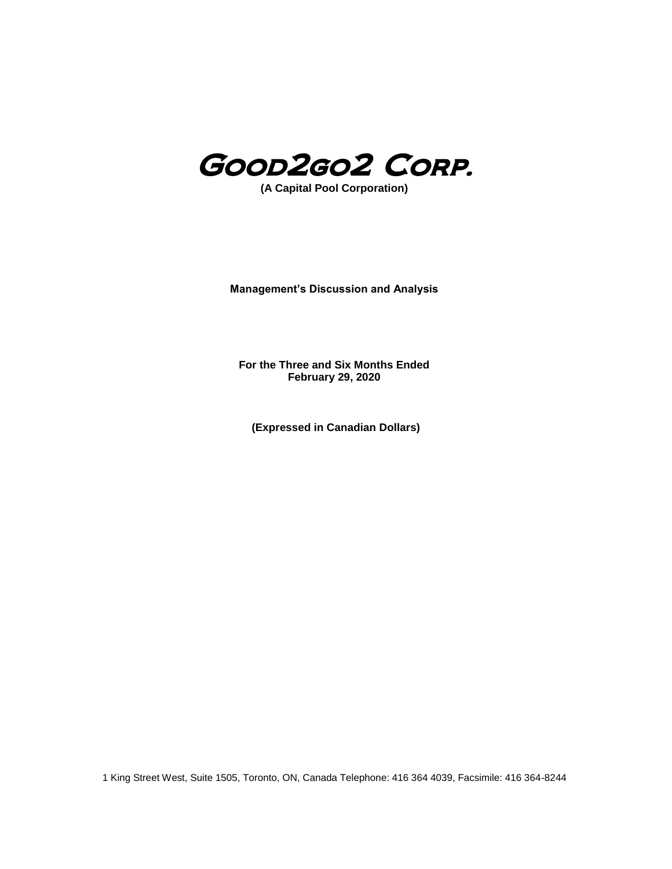

**(A Capital Pool Corporation)**

**Management's Discussion and Analysis**

**For the Three and Six Months Ended February 29, 2020**

**(Expressed in Canadian Dollars)**

1 King Street West, Suite 1505, Toronto, ON, Canada Telephone: 416 364 4039, Facsimile: 416 364-8244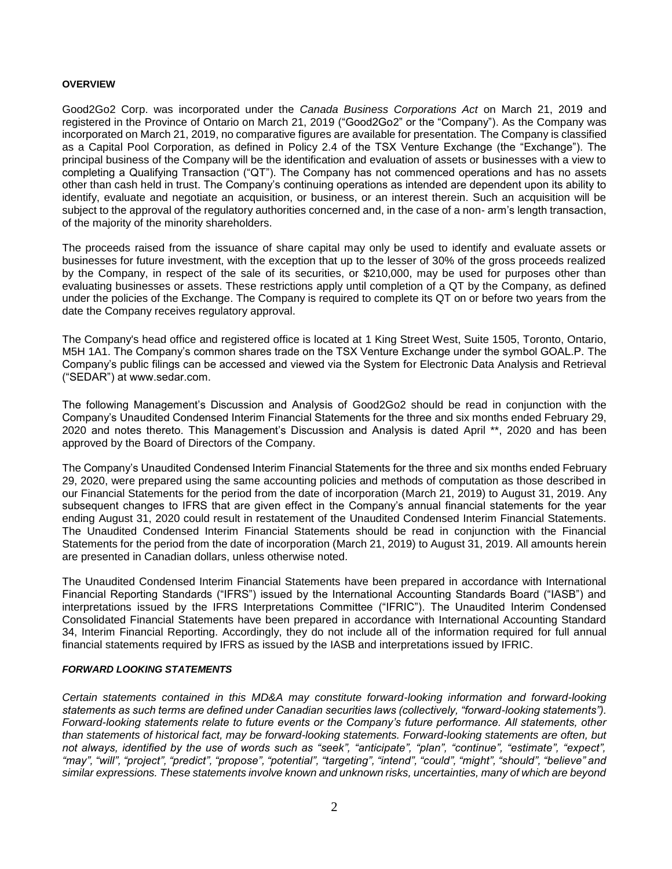#### **OVERVIEW**

Good2Go2 Corp. was incorporated under the *Canada Business Corporations Act* on March 21, 2019 and registered in the Province of Ontario on March 21, 2019 ("Good2Go2" or the "Company"). As the Company was incorporated on March 21, 2019, no comparative figures are available for presentation. The Company is classified as a Capital Pool Corporation, as defined in Policy 2.4 of the TSX Venture Exchange (the "Exchange"). The principal business of the Company will be the identification and evaluation of assets or businesses with a view to completing a Qualifying Transaction ("QT"). The Company has not commenced operations and has no assets other than cash held in trust. The Company's continuing operations as intended are dependent upon its ability to identify, evaluate and negotiate an acquisition, or business, or an interest therein. Such an acquisition will be subject to the approval of the regulatory authorities concerned and, in the case of a non- arm's length transaction, of the majority of the minority shareholders.

The proceeds raised from the issuance of share capital may only be used to identify and evaluate assets or businesses for future investment, with the exception that up to the lesser of 30% of the gross proceeds realized by the Company, in respect of the sale of its securities, or \$210,000, may be used for purposes other than evaluating businesses or assets. These restrictions apply until completion of a QT by the Company, as defined under the policies of the Exchange. The Company is required to complete its QT on or before two years from the date the Company receives regulatory approval.

The Company's head office and registered office is located at 1 King Street West, Suite 1505, Toronto, Ontario, M5H 1A1. The Company's common shares trade on the TSX Venture Exchange under the symbol GOAL.P. The Company's public filings can be accessed and viewed via the System for Electronic Data Analysis and Retrieval ("SEDAR") at www.sedar.com.

The following Management's Discussion and Analysis of Good2Go2 should be read in conjunction with the Company's Unaudited Condensed Interim Financial Statements for the three and six months ended February 29, 2020 and notes thereto. This Management's Discussion and Analysis is dated April \*\*, 2020 and has been approved by the Board of Directors of the Company.

The Company's Unaudited Condensed Interim Financial Statements for the three and six months ended February 29, 2020, were prepared using the same accounting policies and methods of computation as those described in our Financial Statements for the period from the date of incorporation (March 21, 2019) to August 31, 2019. Any subsequent changes to IFRS that are given effect in the Company's annual financial statements for the year ending August 31, 2020 could result in restatement of the Unaudited Condensed Interim Financial Statements. The Unaudited Condensed Interim Financial Statements should be read in conjunction with the Financial Statements for the period from the date of incorporation (March 21, 2019) to August 31, 2019. All amounts herein are presented in Canadian dollars, unless otherwise noted.

The Unaudited Condensed Interim Financial Statements have been prepared in accordance with International Financial Reporting Standards ("IFRS") issued by the International Accounting Standards Board ("IASB") and interpretations issued by the IFRS Interpretations Committee ("IFRIC"). The Unaudited Interim Condensed Consolidated Financial Statements have been prepared in accordance with International Accounting Standard 34, Interim Financial Reporting. Accordingly, they do not include all of the information required for full annual financial statements required by IFRS as issued by the IASB and interpretations issued by IFRIC.

#### *FORWARD LOOKING STATEMENTS*

*Certain statements contained in this MD&A may constitute forward-looking information and forward-looking statements as such terms are defined under Canadian securities laws (collectively, "forward-looking statements"). Forward-looking statements relate to future events or the Company's future performance. All statements, other than statements of historical fact, may be forward-looking statements. Forward-looking statements are often, but not always, identified by the use of words such as "seek", "anticipate", "plan", "continue", "estimate", "expect", "may", "will", "project", "predict", "propose", "potential", "targeting", "intend", "could", "might", "should", "believe" and similar expressions. These statements involve known and unknown risks, uncertainties, many of which are beyond*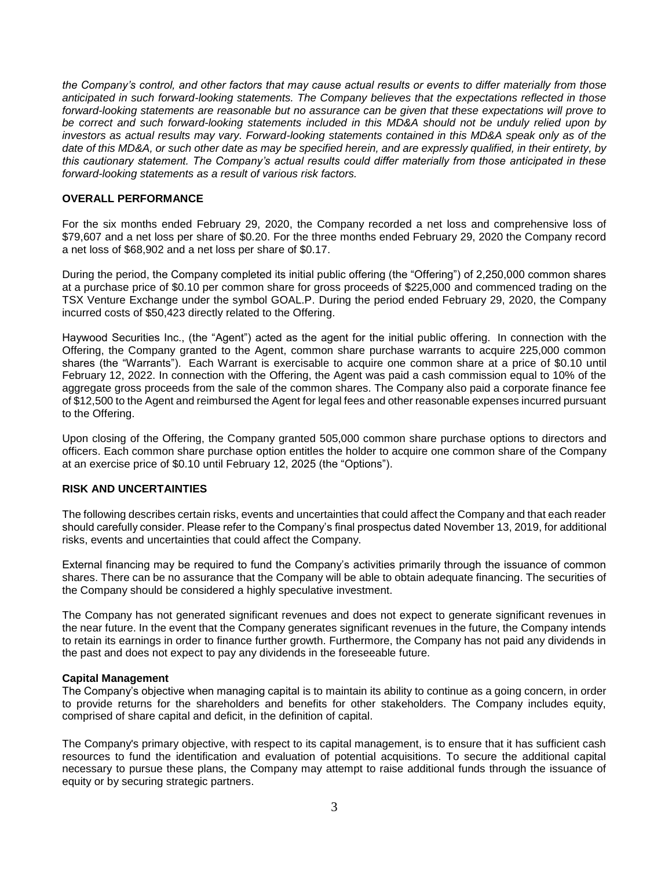*the Company's control, and other factors that may cause actual results or events to differ materially from those anticipated in such forward-looking statements. The Company believes that the expectations reflected in those forward-looking statements are reasonable but no assurance can be given that these expectations will prove to be correct and such forward-looking statements included in this MD&A should not be unduly relied upon by investors as actual results may vary. Forward-looking statements contained in this MD&A speak only as of the date of this MD&A, or such other date as may be specified herein, and are expressly qualified, in their entirety, by this cautionary statement. The Company's actual results could differ materially from those anticipated in these forward-looking statements as a result of various risk factors.*

# **OVERALL PERFORMANCE**

For the six months ended February 29, 2020, the Company recorded a net loss and comprehensive loss of \$79,607 and a net loss per share of \$0.20. For the three months ended February 29, 2020 the Company record a net loss of \$68,902 and a net loss per share of \$0.17.

During the period, the Company completed its initial public offering (the "Offering") of 2,250,000 common shares at a purchase price of \$0.10 per common share for gross proceeds of \$225,000 and commenced trading on the TSX Venture Exchange under the symbol GOAL.P. During the period ended February 29, 2020, the Company incurred costs of \$50,423 directly related to the Offering.

Haywood Securities Inc., (the "Agent") acted as the agent for the initial public offering. In connection with the Offering, the Company granted to the Agent, common share purchase warrants to acquire 225,000 common shares (the "Warrants"). Each Warrant is exercisable to acquire one common share at a price of \$0.10 until February 12, 2022. In connection with the Offering, the Agent was paid a cash commission equal to 10% of the aggregate gross proceeds from the sale of the common shares. The Company also paid a corporate finance fee of \$12,500 to the Agent and reimbursed the Agent for legal fees and other reasonable expenses incurred pursuant to the Offering.

Upon closing of the Offering, the Company granted 505,000 common share purchase options to directors and officers. Each common share purchase option entitles the holder to acquire one common share of the Company at an exercise price of \$0.10 until February 12, 2025 (the "Options").

## **RISK AND UNCERTAINTIES**

The following describes certain risks, events and uncertainties that could affect the Company and that each reader should carefully consider. Please refer to the Company's final prospectus dated November 13, 2019, for additional risks, events and uncertainties that could affect the Company.

External financing may be required to fund the Company's activities primarily through the issuance of common shares. There can be no assurance that the Company will be able to obtain adequate financing. The securities of the Company should be considered a highly speculative investment.

The Company has not generated significant revenues and does not expect to generate significant revenues in the near future. In the event that the Company generates significant revenues in the future, the Company intends to retain its earnings in order to finance further growth. Furthermore, the Company has not paid any dividends in the past and does not expect to pay any dividends in the foreseeable future.

#### **Capital Management**

The Company's objective when managing capital is to maintain its ability to continue as a going concern, in order to provide returns for the shareholders and benefits for other stakeholders. The Company includes equity, comprised of share capital and deficit, in the definition of capital.

The Company's primary objective, with respect to its capital management, is to ensure that it has sufficient cash resources to fund the identification and evaluation of potential acquisitions. To secure the additional capital necessary to pursue these plans, the Company may attempt to raise additional funds through the issuance of equity or by securing strategic partners.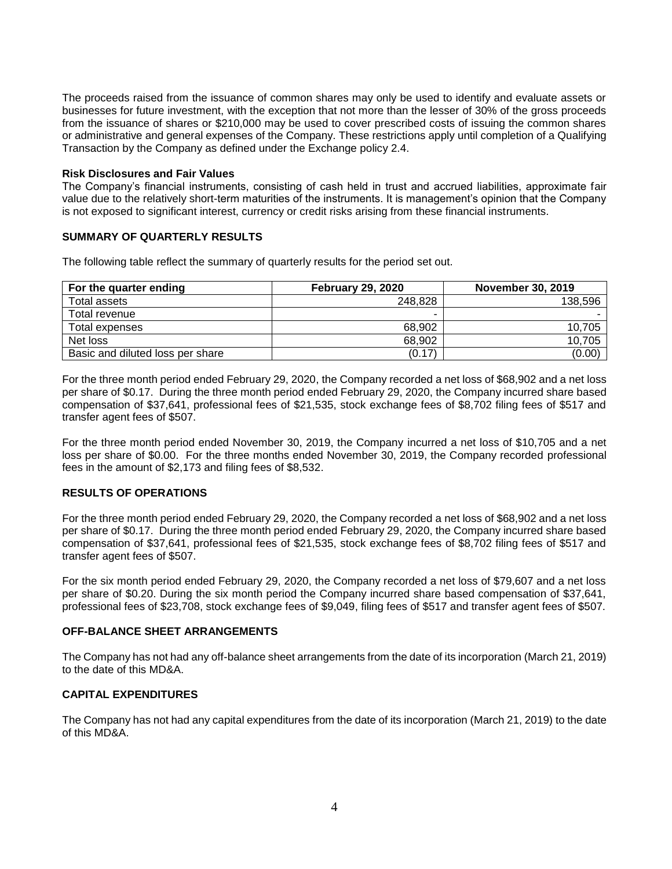The proceeds raised from the issuance of common shares may only be used to identify and evaluate assets or businesses for future investment, with the exception that not more than the lesser of 30% of the gross proceeds from the issuance of shares or \$210,000 may be used to cover prescribed costs of issuing the common shares or administrative and general expenses of the Company. These restrictions apply until completion of a Qualifying Transaction by the Company as defined under the Exchange policy 2.4.

#### **Risk Disclosures and Fair Values**

The Company's financial instruments, consisting of cash held in trust and accrued liabilities, approximate fair value due to the relatively short-term maturities of the instruments. It is management's opinion that the Company is not exposed to significant interest, currency or credit risks arising from these financial instruments.

# **SUMMARY OF QUARTERLY RESULTS**

The following table reflect the summary of quarterly results for the period set out.

| For the quarter ending           | <b>February 29, 2020</b> | <b>November 30, 2019</b> |
|----------------------------------|--------------------------|--------------------------|
| Total assets                     | 248.828                  | 138,596                  |
| Total revenue                    |                          |                          |
| Total expenses                   | 68.902                   | 10.705                   |
| Net loss                         | 68.902                   | 10,705                   |
| Basic and diluted loss per share | (0.17)                   | (0.00)                   |

For the three month period ended February 29, 2020, the Company recorded a net loss of \$68,902 and a net loss per share of \$0.17. During the three month period ended February 29, 2020, the Company incurred share based compensation of \$37,641, professional fees of \$21,535, stock exchange fees of \$8,702 filing fees of \$517 and transfer agent fees of \$507.

For the three month period ended November 30, 2019, the Company incurred a net loss of \$10,705 and a net loss per share of \$0.00. For the three months ended November 30, 2019, the Company recorded professional fees in the amount of \$2,173 and filing fees of \$8,532.

#### **RESULTS OF OPERATIONS**

For the three month period ended February 29, 2020, the Company recorded a net loss of \$68,902 and a net loss per share of \$0.17. During the three month period ended February 29, 2020, the Company incurred share based compensation of \$37,641, professional fees of \$21,535, stock exchange fees of \$8,702 filing fees of \$517 and transfer agent fees of \$507.

For the six month period ended February 29, 2020, the Company recorded a net loss of \$79,607 and a net loss per share of \$0.20. During the six month period the Company incurred share based compensation of \$37,641, professional fees of \$23,708, stock exchange fees of \$9,049, filing fees of \$517 and transfer agent fees of \$507.

#### **OFF-BALANCE SHEET ARRANGEMENTS**

The Company has not had any off-balance sheet arrangements from the date of its incorporation (March 21, 2019) to the date of this MD&A.

## **CAPITAL EXPENDITURES**

The Company has not had any capital expenditures from the date of its incorporation (March 21, 2019) to the date of this MD&A.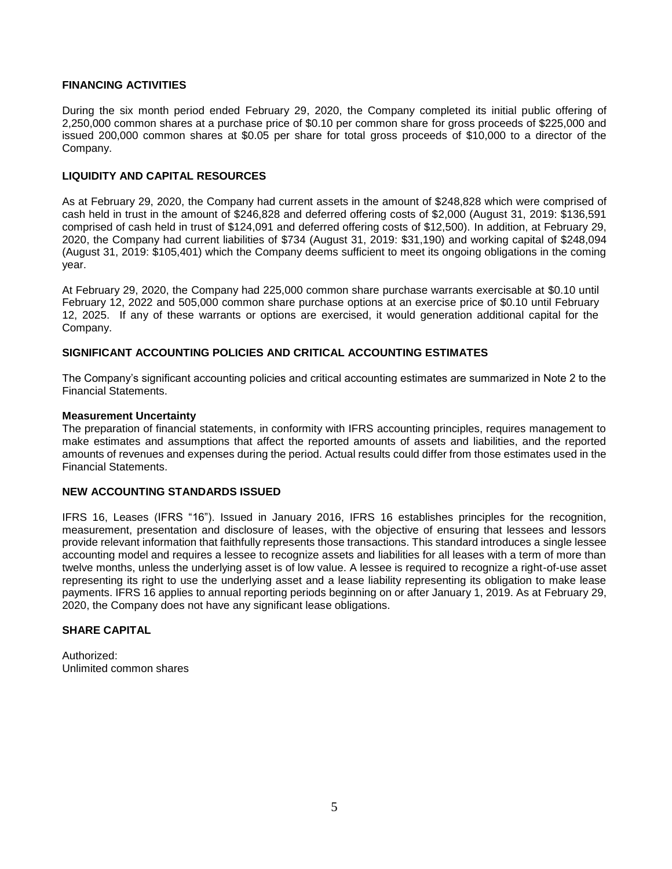## **FINANCING ACTIVITIES**

During the six month period ended February 29, 2020, the Company completed its initial public offering of 2,250,000 common shares at a purchase price of \$0.10 per common share for gross proceeds of \$225,000 and issued 200,000 common shares at \$0.05 per share for total gross proceeds of \$10,000 to a director of the Company.

## **LIQUIDITY AND CAPITAL RESOURCES**

As at February 29, 2020, the Company had current assets in the amount of \$248,828 which were comprised of cash held in trust in the amount of \$246,828 and deferred offering costs of \$2,000 (August 31, 2019: \$136,591 comprised of cash held in trust of \$124,091 and deferred offering costs of \$12,500). In addition, at February 29, 2020, the Company had current liabilities of \$734 (August 31, 2019: \$31,190) and working capital of \$248,094 (August 31, 2019: \$105,401) which the Company deems sufficient to meet its ongoing obligations in the coming year.

At February 29, 2020, the Company had 225,000 common share purchase warrants exercisable at \$0.10 until February 12, 2022 and 505,000 common share purchase options at an exercise price of \$0.10 until February 12, 2025. If any of these warrants or options are exercised, it would generation additional capital for the Company.

## **SIGNIFICANT ACCOUNTING POLICIES AND CRITICAL ACCOUNTING ESTIMATES**

The Company's significant accounting policies and critical accounting estimates are summarized in Note 2 to the Financial Statements.

#### **Measurement Uncertainty**

The preparation of financial statements, in conformity with IFRS accounting principles, requires management to make estimates and assumptions that affect the reported amounts of assets and liabilities, and the reported amounts of revenues and expenses during the period. Actual results could differ from those estimates used in the Financial Statements.

## **NEW ACCOUNTING STANDARDS ISSUED**

IFRS 16, Leases (IFRS "16"). Issued in January 2016, IFRS 16 establishes principles for the recognition, measurement, presentation and disclosure of leases, with the objective of ensuring that lessees and lessors provide relevant information that faithfully represents those transactions. This standard introduces a single lessee accounting model and requires a lessee to recognize assets and liabilities for all leases with a term of more than twelve months, unless the underlying asset is of low value. A lessee is required to recognize a right-of-use asset representing its right to use the underlying asset and a lease liability representing its obligation to make lease payments. IFRS 16 applies to annual reporting periods beginning on or after January 1, 2019. As at February 29, 2020, the Company does not have any significant lease obligations.

# **SHARE CAPITAL**

Authorized: Unlimited common shares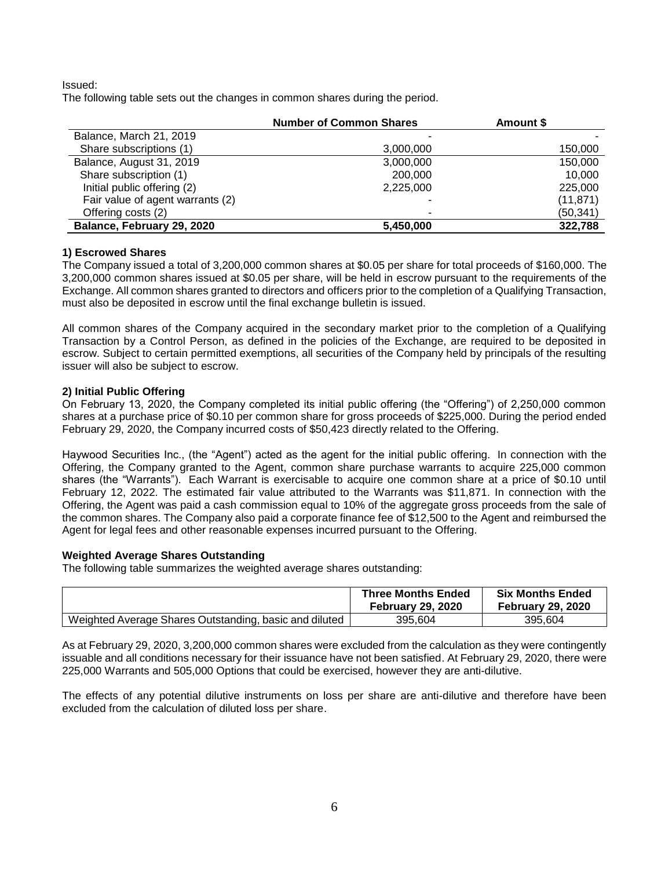Issued:

The following table sets out the changes in common shares during the period.

|                                  | <b>Number of Common Shares</b> | Amount \$ |
|----------------------------------|--------------------------------|-----------|
| Balance, March 21, 2019          |                                |           |
| Share subscriptions (1)          | 3,000,000                      | 150,000   |
| Balance, August 31, 2019         | 3,000,000                      | 150,000   |
| Share subscription (1)           | 200,000                        | 10,000    |
| Initial public offering (2)      | 2,225,000                      | 225,000   |
| Fair value of agent warrants (2) |                                | (11, 871) |
| Offering costs (2)               | ۰                              | (50, 341) |
| Balance, February 29, 2020       | 5.450.000                      | 322,788   |

## **1) Escrowed Shares**

The Company issued a total of 3,200,000 common shares at \$0.05 per share for total proceeds of \$160,000. The 3,200,000 common shares issued at \$0.05 per share, will be held in escrow pursuant to the requirements of the Exchange. All common shares granted to directors and officers prior to the completion of a Qualifying Transaction, must also be deposited in escrow until the final exchange bulletin is issued.

All common shares of the Company acquired in the secondary market prior to the completion of a Qualifying Transaction by a Control Person, as defined in the policies of the Exchange, are required to be deposited in escrow. Subject to certain permitted exemptions, all securities of the Company held by principals of the resulting issuer will also be subject to escrow.

## **2) Initial Public Offering**

On February 13, 2020, the Company completed its initial public offering (the "Offering") of 2,250,000 common shares at a purchase price of \$0.10 per common share for gross proceeds of \$225,000. During the period ended February 29, 2020, the Company incurred costs of \$50,423 directly related to the Offering.

Haywood Securities Inc., (the "Agent") acted as the agent for the initial public offering. In connection with the Offering, the Company granted to the Agent, common share purchase warrants to acquire 225,000 common shares (the "Warrants"). Each Warrant is exercisable to acquire one common share at a price of \$0.10 until February 12, 2022. The estimated fair value attributed to the Warrants was \$11,871. In connection with the Offering, the Agent was paid a cash commission equal to 10% of the aggregate gross proceeds from the sale of the common shares. The Company also paid a corporate finance fee of \$12,500 to the Agent and reimbursed the Agent for legal fees and other reasonable expenses incurred pursuant to the Offering.

# **Weighted Average Shares Outstanding**

The following table summarizes the weighted average shares outstanding:

|                                                        | <b>Three Months Ended</b><br><b>February 29, 2020</b> | <b>Six Months Ended</b><br><b>February 29, 2020</b> |
|--------------------------------------------------------|-------------------------------------------------------|-----------------------------------------------------|
| Weighted Average Shares Outstanding, basic and diluted | 395.604                                               | 395.604                                             |

As at February 29, 2020, 3,200,000 common shares were excluded from the calculation as they were contingently issuable and all conditions necessary for their issuance have not been satisfied. At February 29, 2020, there were 225,000 Warrants and 505,000 Options that could be exercised, however they are anti-dilutive.

The effects of any potential dilutive instruments on loss per share are anti-dilutive and therefore have been excluded from the calculation of diluted loss per share.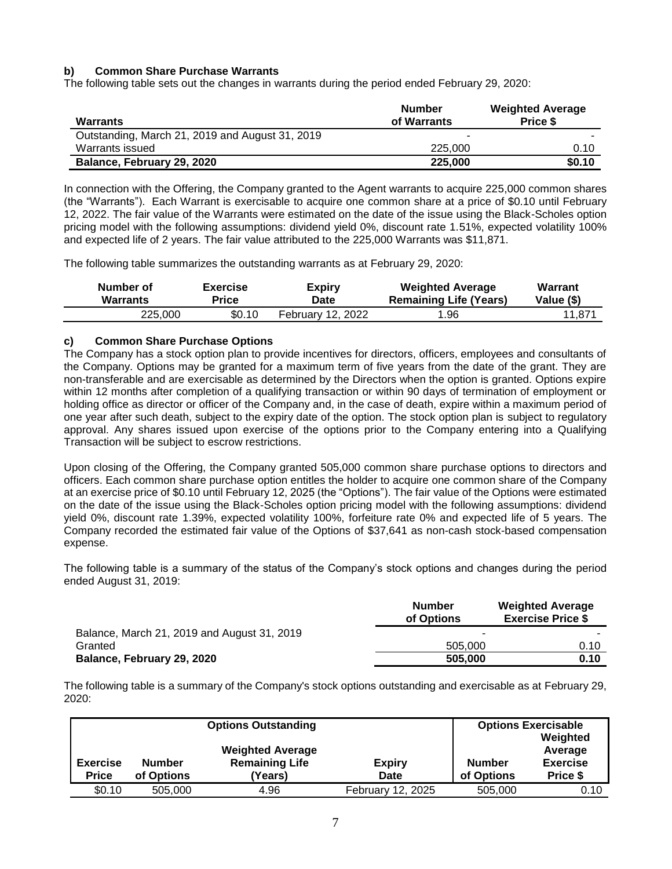# **b) Common Share Purchase Warrants**

The following table sets out the changes in warrants during the period ended February 29, 2020:

| <b>Warrants</b>                                 | <b>Number</b><br>of Warrants | <b>Weighted Average</b><br>Price \$ |
|-------------------------------------------------|------------------------------|-------------------------------------|
| Outstanding, March 21, 2019 and August 31, 2019 |                              |                                     |
| Warrants issued                                 | 225,000                      | 0.10                                |
| Balance, February 29, 2020                      | 225,000                      | \$0.10                              |

In connection with the Offering, the Company granted to the Agent warrants to acquire 225,000 common shares (the "Warrants"). Each Warrant is exercisable to acquire one common share at a price of \$0.10 until February 12, 2022. The fair value of the Warrants were estimated on the date of the issue using the Black-Scholes option pricing model with the following assumptions: dividend yield 0%, discount rate 1.51%, expected volatility 100% and expected life of 2 years. The fair value attributed to the 225,000 Warrants was \$11,871.

The following table summarizes the outstanding warrants as at February 29, 2020:

| Number of       | <b>Exercise</b> | <b>Expiry</b>     | <b>Weighted Average</b>       | Warrant    |
|-----------------|-----------------|-------------------|-------------------------------|------------|
| <b>Warrants</b> | Price           | Date              | <b>Remaining Life (Years)</b> | Value (\$) |
| 225.000         | \$0.10          | February 12, 2022 | .96                           | 11,871     |

#### **c) Common Share Purchase Options**

The Company has a stock option plan to provide incentives for directors, officers, employees and consultants of the Company. Options may be granted for a maximum term of five years from the date of the grant. They are non-transferable and are exercisable as determined by the Directors when the option is granted. Options expire within 12 months after completion of a qualifying transaction or within 90 days of termination of employment or holding office as director or officer of the Company and, in the case of death, expire within a maximum period of one year after such death, subject to the expiry date of the option. The stock option plan is subject to regulatory approval. Any shares issued upon exercise of the options prior to the Company entering into a Qualifying Transaction will be subject to escrow restrictions.

Upon closing of the Offering, the Company granted 505,000 common share purchase options to directors and officers. Each common share purchase option entitles the holder to acquire one common share of the Company at an exercise price of \$0.10 until February 12, 2025 (the "Options"). The fair value of the Options were estimated on the date of the issue using the Black-Scholes option pricing model with the following assumptions: dividend yield 0%, discount rate 1.39%, expected volatility 100%, forfeiture rate 0% and expected life of 5 years. The Company recorded the estimated fair value of the Options of \$37,641 as non-cash stock-based compensation expense.

The following table is a summary of the status of the Company's stock options and changes during the period ended August 31, 2019:

|                                             | <b>Number</b><br>of Options | <b>Weighted Average</b><br><b>Exercise Price \$</b> |
|---------------------------------------------|-----------------------------|-----------------------------------------------------|
| Balance, March 21, 2019 and August 31, 2019 |                             |                                                     |
| Granted                                     | 505,000                     | 0.10                                                |
| Balance, February 29, 2020                  | 505,000                     | 0.10                                                |

The following table is a summary of the Company's stock options outstanding and exercisable as at February 29, 2020:

|                                 |                             | <b>Options Outstanding</b>                                  |                       |                      | <b>Options Exercisable</b><br>Weighted |
|---------------------------------|-----------------------------|-------------------------------------------------------------|-----------------------|----------------------|----------------------------------------|
| <b>Exercise</b><br><b>Price</b> | <b>Number</b><br>of Options | <b>Weighted Average</b><br><b>Remaining Life</b><br>(Years) | <b>Expiry</b><br>Date | Number<br>of Options | Average<br><b>Exercise</b><br>Price \$ |
| \$0.10                          | 505,000                     | 4.96                                                        | February 12, 2025     | 505,000              | 0.10                                   |